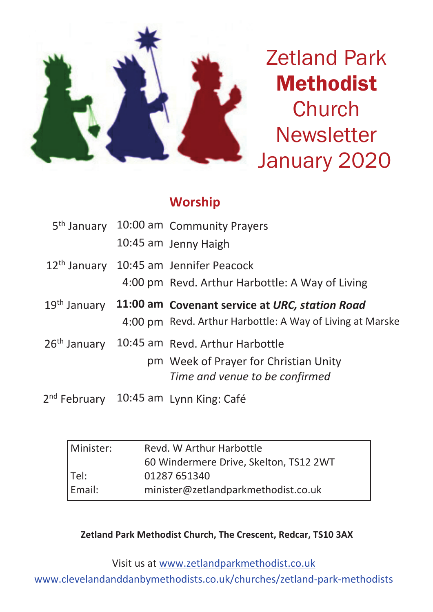

Zetland Park Methodist **Church Newsletter** January 2020

# **Worship**

|  | 5 <sup>th</sup> January 10:00 am Community Prayers          |  |
|--|-------------------------------------------------------------|--|
|  | 10:45 am Jenny Haigh                                        |  |
|  | 12 <sup>th</sup> January 10:45 am Jennifer Peacock          |  |
|  | 4:00 pm Revd. Arthur Harbottle: A Way of Living             |  |
|  | 19th January 11:00 am Covenant service at URC, station Road |  |
|  | 4:00 pm Revd. Arthur Harbottle: A Way of Living at Marske   |  |
|  | 26th January 10:45 am Revd. Arthur Harbottle                |  |
|  | pm Week of Prayer for Christian Unity                       |  |
|  | Time and venue to be confirmed                              |  |
|  | 2 <sup>nd</sup> February 10:45 am Lynn King: Café           |  |

| Minister: | Revd. W Arthur Harbottle               |  |  |
|-----------|----------------------------------------|--|--|
|           | 60 Windermere Drive, Skelton, TS12 2WT |  |  |
| $ $ Tel:  | 01287 651340                           |  |  |
| Email:    | minister@zetlandparkmethodist.co.uk    |  |  |

**Zetland Park Methodist Church, The Crescent, Redcar, TS10 3AX**

Visit us at www.zetlandparkmethodist.co.uk

www.clevelandanddanbymethodists.co.uk/churches/zetland-park-methodists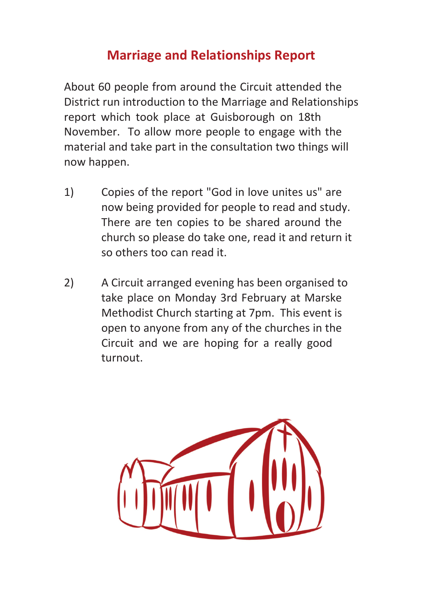# **Marriage and Relationships Report**

About 60 people from around the Circuit attended the District run introduction to the Marriage and Relationships report which took place at Guisborough on 18th November. To allow more people to engage with the material and take part in the consultation two things will now happen.

- 1) Copies of the report "God in love unites us" are now being provided for people to read and study. There are ten copies to be shared around the church so please do take one, read it and return it so others too can read it.
- 2) A Circuit arranged evening has been organised to take place on Monday 3rd February at Marske Methodist Church starting at 7pm. This event is open to anyone from any of the churches in the Circuit and we are hoping for a really good turnout.

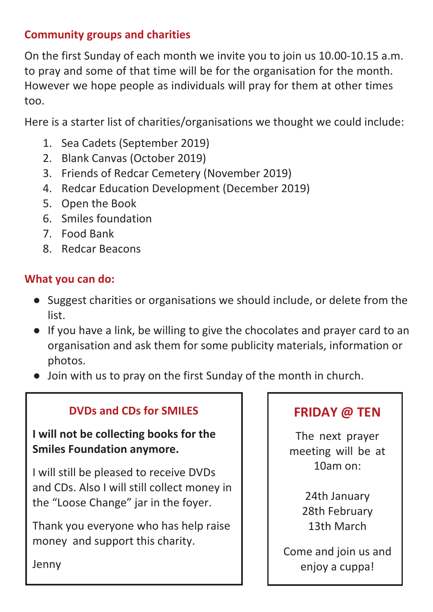## **Community groups and charities**

On the first Sunday of each month we invite you to join us 10.00-10.15 a.m. to pray and some of that time will be for the organisation for the month. However we hope people as individuals will pray for them at other times too.

Here is a starter list of charities/organisations we thought we could include:

- 1. Sea Cadets (September 2019)
- 2. Blank Canvas (October 2019)
- 3. Friends of Redcar Cemetery (November 2019)
- 4. Redcar Education Development (December 2019)
- 5. Open the Book
- 6. Smiles foundation
- 7. Food Bank
- 8. Redcar Beacons

## **What you can do:**

- Suggest charities or organisations we should include, or delete from the list.
- If you have a link, be willing to give the chocolates and prayer card to an organisation and ask them for some publicity materials, information or photos.
- Join with us to pray on the first Sunday of the month in church.

## **DVDs and CDs for SMILES**

**I will not be collecting books for the Smiles Foundation anymore.**

I will still be pleased to receive DVDs and CDs. Also I will still collect money in the "Loose Change" jar in the foyer.

Thank you everyone who has help raise money and support this charity.

# **FRIDAY @ TEN**

The next prayer meeting will be at 10am on:

> 24th January 28th February 13th March

Come and join us and enjoy a cuppa!

Jenny